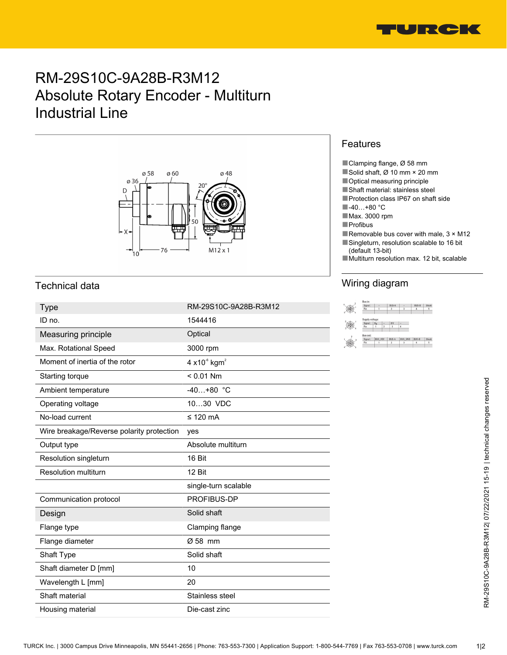

# RM-29S10C-9A28B-R3M12 Absolute Rotary Encoder - Multiturn Industrial Line



### Technical data

| <b>Type</b>                               | RM-29S10C-9A28B-R3M12                        | bus in<br>Signal:<br>Pirc<br>$\circledast$ |
|-------------------------------------------|----------------------------------------------|--------------------------------------------|
| ID no.                                    | 1544416                                      | $\circledcirc$                             |
| Measuring principle                       | Optical                                      |                                            |
| Max. Rotational Speed                     | 3000 rpm                                     |                                            |
| Moment of inertia of the rotor            | 4 $\times$ 10 $\textdegree$ kgm <sup>2</sup> |                                            |
| Starting torque                           | $< 0.01$ Nm                                  |                                            |
| Ambient temperature                       | $-40+80$ °C                                  |                                            |
| Operating voltage                         | 1030 VDC                                     |                                            |
| No-load current                           | $\leq$ 120 mA                                |                                            |
| Wire breakage/Reverse polarity protection | yes                                          |                                            |
| Output type                               | Absolute multiturn                           |                                            |
| Resolution singleturn                     | 16 Bit                                       |                                            |
| Resolution multiturn                      | 12 Bit                                       |                                            |
|                                           | single-turn scalable                         |                                            |
| Communication protocol                    | PROFIBUS-DP                                  |                                            |
| Design                                    | Solid shaft                                  |                                            |
| Flange type                               | Clamping flange                              |                                            |
| Flange diameter                           | Ø 58 mm                                      |                                            |
| Shaft Type                                | Solid shaft                                  |                                            |
| Shaft diameter D [mm]                     | 10                                           |                                            |
| Wavelength L [mm]                         | 20                                           |                                            |
| Shaft material                            | Stainless steel                              |                                            |
| Housing material                          | Die-cast zinc                                |                                            |

#### Features

- ■Clamping flange, Ø 58 mm
- ■Solid shaft, Ø 10 mm × 20 mm
- Optical measuring principle
- ■Shaft material: stainless steel
- ■Protection class IP67 on shaft side
- ■-40…+80 °C
- ■Max. 3000 rpm
- ■Profibus
- Removable bus cover with male,  $3 \times M12$ ■Singleturn, resolution scalable to 16 bit
	- (default 13-bit)
- Multiturn resolution max. 12 bit, scalable

## Wiring diagram